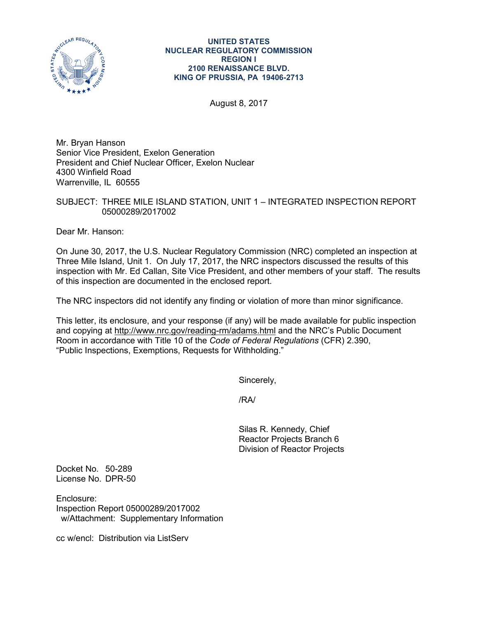

#### **UNITED STATES NUCLEAR REGULATORY COMMISSION REGION I 2100 RENAISSANCE BLVD. KING OF PRUSSIA, PA 19406-2713**

August 8, 2017

Mr. Bryan Hanson Senior Vice President, Exelon Generation President and Chief Nuclear Officer, Exelon Nuclear 4300 Winfield Road Warrenville, IL 60555

SUBJECT: THREE MILE ISLAND STATION, UNIT 1 – INTEGRATED INSPECTION REPORT 05000289/2017002

Dear Mr. Hanson:

On June 30, 2017, the U.S. Nuclear Regulatory Commission (NRC) completed an inspection at Three Mile Island, Unit 1. On July 17, 2017, the NRC inspectors discussed the results of this inspection with Mr. Ed Callan, Site Vice President, and other members of your staff. The results of this inspection are documented in the enclosed report.

The NRC inspectors did not identify any finding or violation of more than minor significance.

This letter, its enclosure, and your response (if any) will be made available for public inspection and copying at<http://www.nrc.gov/reading-rm/adams.html> and the NRC's Public Document Room in accordance with Title 10 of the *Code of Federal Regulations* (CFR) 2.390, "Public Inspections, Exemptions, Requests for Withholding."

Sincerely,

/RA/

Silas R. Kennedy, Chief Reactor Projects Branch 6 Division of Reactor Projects

Docket No. 50-289 License No. DPR-50

Enclosure: Inspection Report 05000289/2017002 w/Attachment: Supplementary Information

cc w/encl: Distribution via ListServ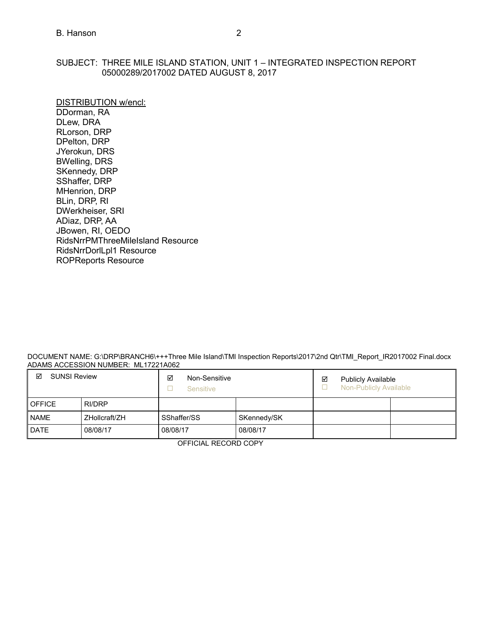## SUBJECT: THREE MILE ISLAND STATION, UNIT 1 – INTEGRATED INSPECTION REPORT 05000289/2017002 DATED AUGUST 8, 2017

DISTRIBUTION w/encl: DDorman, RA DLew, DRA RLorson, DRP DPelton, DRP JYerokun, DRS BWelling, DRS SKennedy, DRP SShaffer, DRP MHenrion, DRP BLin, DRP, RI DWerkheiser, SRI ADiaz, DRP, AA JBowen, RI, OEDO RidsNrrPMThreeMileIsland Resource RidsNrrDorlLpl1 Resource ROPReports Resource

DOCUMENT NAME: G:\DRP\BRANCH6\+++Three Mile Island\TMI Inspection Reports\2017\2nd Qtr\TMI\_Report\_IR2017002 Final.docx ADAMS ACCESSION NUMBER: ML17221A062

| ☑<br><b>SUNSI Review</b> |               | ☑<br>Non-Sensitive<br>Sensitive |             | ☑ | <b>Publicly Available</b><br>Non-Publicly Available |  |
|--------------------------|---------------|---------------------------------|-------------|---|-----------------------------------------------------|--|
| <b>OFFICE</b>            | RI/DRP        |                                 |             |   |                                                     |  |
| <b>NAME</b>              | ZHollcraft/ZH | SShaffer/SS                     | SKennedy/SK |   |                                                     |  |
| <b>DATE</b>              | 08/08/17      | 08/08/17                        | 08/08/17    |   |                                                     |  |

OFFICIAL RECORD COPY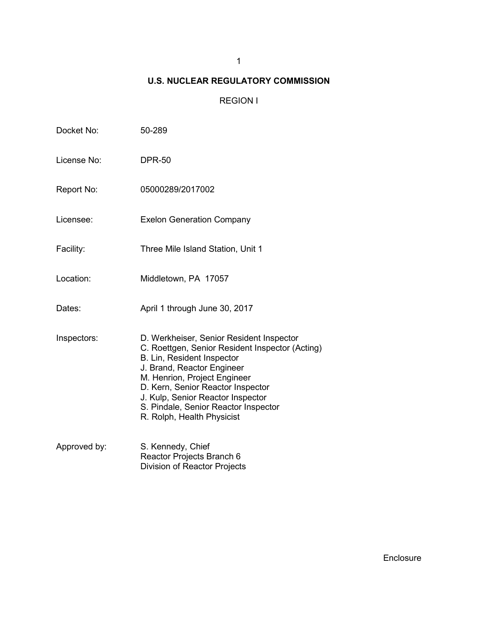# 1

# **U.S. NUCLEAR REGULATORY COMMISSION**

# REGION I

| Docket No:   | 50-289                                                                                                                                                                                                                                                                                                                                  |  |  |  |
|--------------|-----------------------------------------------------------------------------------------------------------------------------------------------------------------------------------------------------------------------------------------------------------------------------------------------------------------------------------------|--|--|--|
| License No:  | <b>DPR-50</b>                                                                                                                                                                                                                                                                                                                           |  |  |  |
| Report No:   | 05000289/2017002                                                                                                                                                                                                                                                                                                                        |  |  |  |
| Licensee:    | <b>Exelon Generation Company</b>                                                                                                                                                                                                                                                                                                        |  |  |  |
| Facility:    | Three Mile Island Station, Unit 1                                                                                                                                                                                                                                                                                                       |  |  |  |
| Location:    | Middletown, PA 17057                                                                                                                                                                                                                                                                                                                    |  |  |  |
| Dates:       | April 1 through June 30, 2017                                                                                                                                                                                                                                                                                                           |  |  |  |
| Inspectors:  | D. Werkheiser, Senior Resident Inspector<br>C. Roettgen, Senior Resident Inspector (Acting)<br>B. Lin, Resident Inspector<br>J. Brand, Reactor Engineer<br>M. Henrion, Project Engineer<br>D. Kern, Senior Reactor Inspector<br>J. Kulp, Senior Reactor Inspector<br>S. Pindale, Senior Reactor Inspector<br>R. Rolph, Health Physicist |  |  |  |
| Approved by: | S. Kennedy, Chief<br>Reactor Projects Branch 6<br>Division of Reactor Projects                                                                                                                                                                                                                                                          |  |  |  |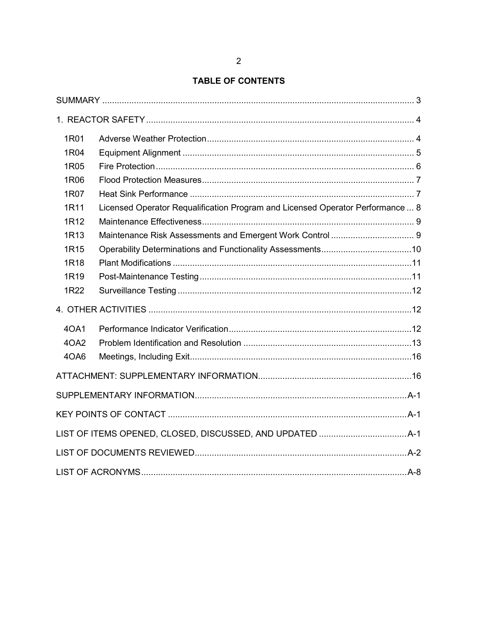# **TABLE OF CONTENTS**

| 1R01             |                                                                                |  |
|------------------|--------------------------------------------------------------------------------|--|
| 1R04             |                                                                                |  |
| 1R05             |                                                                                |  |
| 1R06             |                                                                                |  |
| 1R07             |                                                                                |  |
| 1R11             | Licensed Operator Requalification Program and Licensed Operator Performance  8 |  |
| 1R12             |                                                                                |  |
| 1R <sub>13</sub> |                                                                                |  |
| 1R <sub>15</sub> |                                                                                |  |
| 1R18             |                                                                                |  |
| 1R <sub>19</sub> |                                                                                |  |
| 1R22             |                                                                                |  |
|                  |                                                                                |  |
| 40A1             |                                                                                |  |
| 4OA2             |                                                                                |  |
| 4OA6             |                                                                                |  |
|                  |                                                                                |  |
|                  |                                                                                |  |
|                  |                                                                                |  |
|                  |                                                                                |  |
|                  |                                                                                |  |
|                  |                                                                                |  |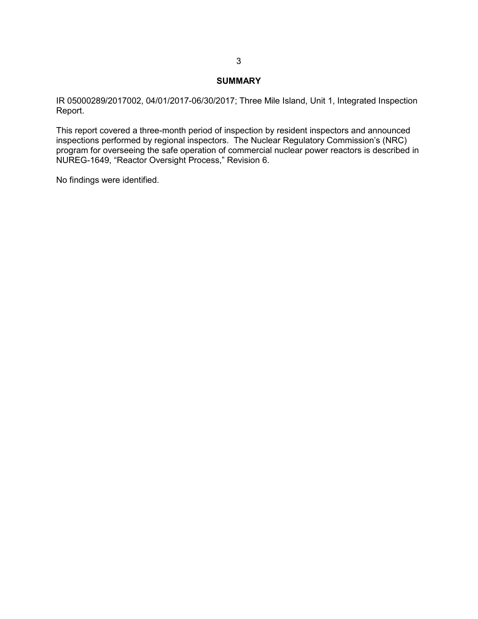#### **SUMMARY**

<span id="page-4-0"></span>IR 05000289/2017002, 04/01/2017-06/30/2017; Three Mile Island, Unit 1, Integrated Inspection Report.

This report covered a three-month period of inspection by resident inspectors and announced inspections performed by regional inspectors. The Nuclear Regulatory Commission's (NRC) program for overseeing the safe operation of commercial nuclear power reactors is described in NUREG-1649, "Reactor Oversight Process," Revision 6.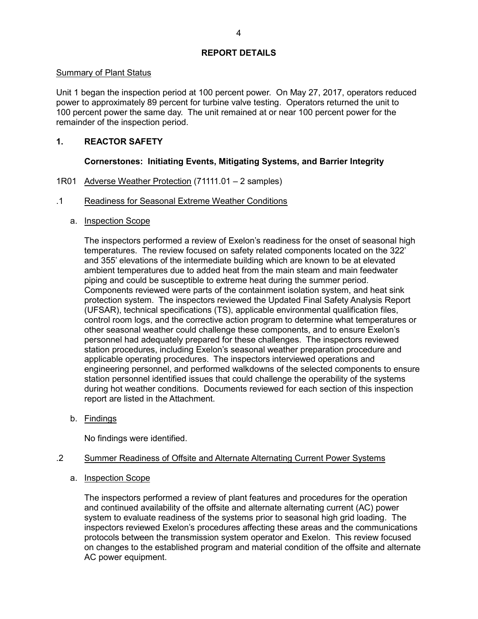### **REPORT DETAILS**

### Summary of Plant Status

Unit 1 began the inspection period at 100 percent power. On May 27, 2017, operators reduced power to approximately 89 percent for turbine valve testing. Operators returned the unit to 100 percent power the same day. The unit remained at or near 100 percent power for the remainder of the inspection period.

## <span id="page-5-0"></span>**1. REACTOR SAFETY**

## **Cornerstones: Initiating Events, Mitigating Systems, and Barrier Integrity**

## <span id="page-5-1"></span>1R01 Adverse Weather Protection (71111.01 – 2 samples)

## .1 Readiness for Seasonal Extreme Weather Conditions

## a. Inspection Scope

The inspectors performed a review of Exelon's readiness for the onset of seasonal high temperatures. The review focused on safety related components located on the 322' and 355' elevations of the intermediate building which are known to be at elevated ambient temperatures due to added heat from the main steam and main feedwater piping and could be susceptible to extreme heat during the summer period. Components reviewed were parts of the containment isolation system, and heat sink protection system. The inspectors reviewed the Updated Final Safety Analysis Report (UFSAR), technical specifications (TS), applicable environmental qualification files, control room logs, and the corrective action program to determine what temperatures or other seasonal weather could challenge these components, and to ensure Exelon's personnel had adequately prepared for these challenges. The inspectors reviewed station procedures, including Exelon's seasonal weather preparation procedure and applicable operating procedures. The inspectors interviewed operations and engineering personnel, and performed walkdowns of the selected components to ensure station personnel identified issues that could challenge the operability of the systems during hot weather conditions. Documents reviewed for each section of this inspection report are listed in the Attachment.

b. Findings

No findings were identified.

## .2 Summer Readiness of Offsite and Alternate Alternating Current Power Systems

a. Inspection Scope

The inspectors performed a review of plant features and procedures for the operation and continued availability of the offsite and alternate alternating current (AC) power system to evaluate readiness of the systems prior to seasonal high grid loading. The inspectors reviewed Exelon's procedures affecting these areas and the communications protocols between the transmission system operator and Exelon. This review focused on changes to the established program and material condition of the offsite and alternate AC power equipment.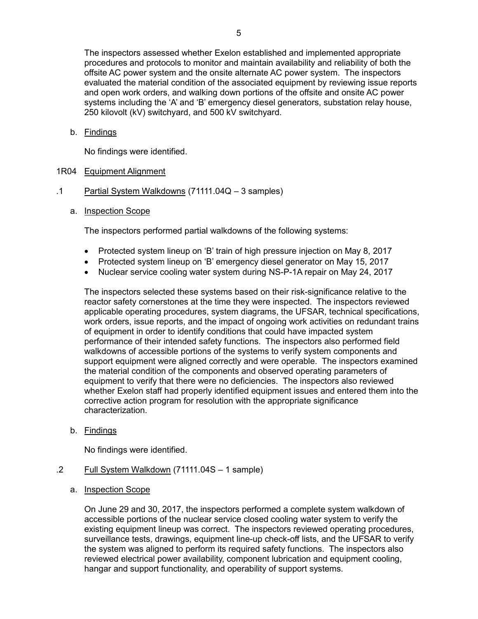The inspectors assessed whether Exelon established and implemented appropriate procedures and protocols to monitor and maintain availability and reliability of both the offsite AC power system and the onsite alternate AC power system. The inspectors evaluated the material condition of the associated equipment by reviewing issue reports and open work orders, and walking down portions of the offsite and onsite AC power systems including the 'A' and 'B' emergency diesel generators, substation relay house, 250 kilovolt (kV) switchyard, and 500 kV switchyard.

b. Findings

No findings were identified.

## <span id="page-6-0"></span>1R04 Equipment Alignment

- .1 Partial System Walkdowns (71111.04Q 3 samples)
	- a. Inspection Scope

The inspectors performed partial walkdowns of the following systems:

- Protected system lineup on 'B' train of high pressure injection on May 8, 2017
- Protected system lineup on 'B' emergency diesel generator on May 15, 2017
- Nuclear service cooling water system during NS-P-1A repair on May 24, 2017

The inspectors selected these systems based on their risk-significance relative to the reactor safety cornerstones at the time they were inspected. The inspectors reviewed applicable operating procedures, system diagrams, the UFSAR, technical specifications, work orders, issue reports, and the impact of ongoing work activities on redundant trains of equipment in order to identify conditions that could have impacted system performance of their intended safety functions. The inspectors also performed field walkdowns of accessible portions of the systems to verify system components and support equipment were aligned correctly and were operable. The inspectors examined the material condition of the components and observed operating parameters of equipment to verify that there were no deficiencies. The inspectors also reviewed whether Exelon staff had properly identified equipment issues and entered them into the corrective action program for resolution with the appropriate significance characterization.

b. Findings

No findings were identified.

- .2 Full System Walkdown (71111.04S 1 sample)
	- a. Inspection Scope

On June 29 and 30, 2017, the inspectors performed a complete system walkdown of accessible portions of the nuclear service closed cooling water system to verify the existing equipment lineup was correct. The inspectors reviewed operating procedures, surveillance tests, drawings, equipment line-up check-off lists, and the UFSAR to verify the system was aligned to perform its required safety functions. The inspectors also reviewed electrical power availability, component lubrication and equipment cooling, hangar and support functionality, and operability of support systems.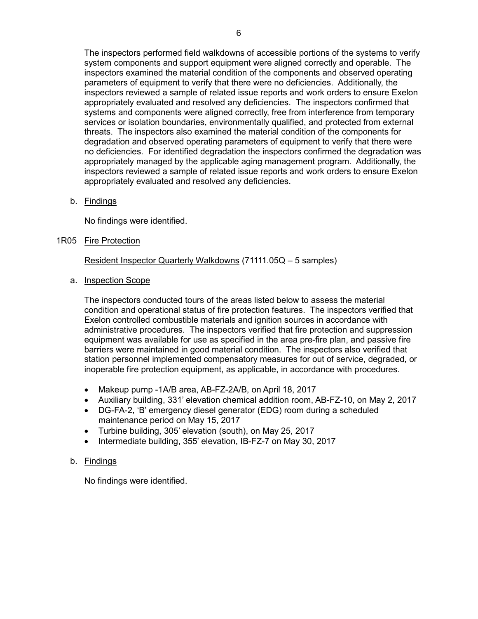The inspectors performed field walkdowns of accessible portions of the systems to verify system components and support equipment were aligned correctly and operable. The inspectors examined the material condition of the components and observed operating parameters of equipment to verify that there were no deficiencies. Additionally, the inspectors reviewed a sample of related issue reports and work orders to ensure Exelon appropriately evaluated and resolved any deficiencies. The inspectors confirmed that systems and components were aligned correctly, free from interference from temporary services or isolation boundaries, environmentally qualified, and protected from external threats. The inspectors also examined the material condition of the components for degradation and observed operating parameters of equipment to verify that there were no deficiencies. For identified degradation the inspectors confirmed the degradation was appropriately managed by the applicable aging management program. Additionally, the inspectors reviewed a sample of related issue reports and work orders to ensure Exelon appropriately evaluated and resolved any deficiencies.

b. Findings

No findings were identified.

## <span id="page-7-0"></span>1R05 Fire Protection

Resident Inspector Quarterly Walkdowns (71111.05Q – 5 samples)

a. Inspection Scope

The inspectors conducted tours of the areas listed below to assess the material condition and operational status of fire protection features. The inspectors verified that Exelon controlled combustible materials and ignition sources in accordance with administrative procedures. The inspectors verified that fire protection and suppression equipment was available for use as specified in the area pre-fire plan, and passive fire barriers were maintained in good material condition. The inspectors also verified that station personnel implemented compensatory measures for out of service, degraded, or inoperable fire protection equipment, as applicable, in accordance with procedures.

- Makeup pump -1A/B area, AB-FZ-2A/B, on April 18, 2017
- Auxiliary building, 331' elevation chemical addition room, AB-FZ-10, on May 2, 2017
- DG-FA-2, 'B' emergency diesel generator (EDG) room during a scheduled maintenance period on May 15, 2017
- Turbine building, 305' elevation (south), on May 25, 2017
- Intermediate building, 355' elevation, IB-FZ-7 on May 30, 2017

### b. Findings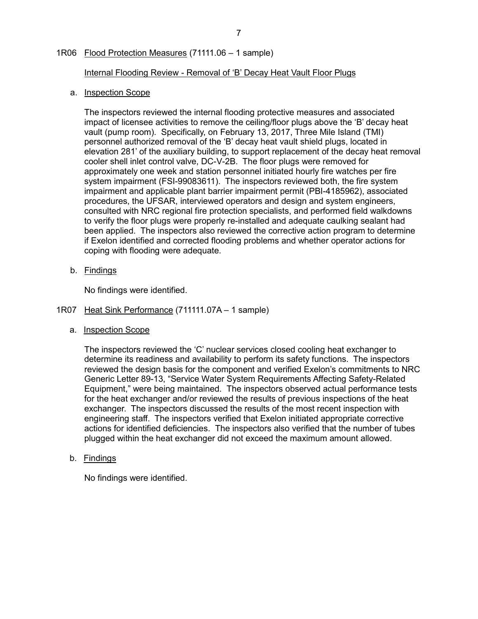## <span id="page-8-0"></span>1R06 Flood Protection Measures (71111.06 – 1 sample)

Internal Flooding Review - Removal of 'B' Decay Heat Vault Floor Plugs

## a. Inspection Scope

The inspectors reviewed the internal flooding protective measures and associated impact of licensee activities to remove the ceiling/floor plugs above the 'B' decay heat vault (pump room). Specifically, on February 13, 2017, Three Mile Island (TMI) personnel authorized removal of the 'B' decay heat vault shield plugs, located in elevation 281' of the auxiliary building, to support replacement of the decay heat removal cooler shell inlet control valve, DC-V-2B. The floor plugs were removed for approximately one week and station personnel initiated hourly fire watches per fire system impairment (FSI-99083611). The inspectors reviewed both, the fire system impairment and applicable plant barrier impairment permit (PBI-4185962), associated procedures, the UFSAR, interviewed operators and design and system engineers, consulted with NRC regional fire protection specialists, and performed field walkdowns to verify the floor plugs were properly re-installed and adequate caulking sealant had been applied. The inspectors also reviewed the corrective action program to determine if Exelon identified and corrected flooding problems and whether operator actions for coping with flooding were adequate.

b. Findings

No findings were identified.

### <span id="page-8-1"></span>1R07 Heat Sink Performance (711111.07A – 1 sample)

a. Inspection Scope

The inspectors reviewed the 'C' nuclear services closed cooling heat exchanger to determine its readiness and availability to perform its safety functions. The inspectors reviewed the design basis for the component and verified Exelon's commitments to NRC Generic Letter 89-13, "Service Water System Requirements Affecting Safety-Related Equipment," were being maintained. The inspectors observed actual performance tests for the heat exchanger and/or reviewed the results of previous inspections of the heat exchanger. The inspectors discussed the results of the most recent inspection with engineering staff. The inspectors verified that Exelon initiated appropriate corrective actions for identified deficiencies. The inspectors also verified that the number of tubes plugged within the heat exchanger did not exceed the maximum amount allowed.

b. Findings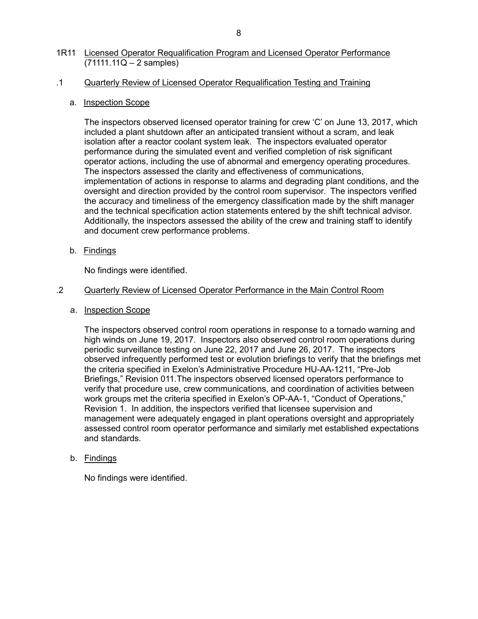## <span id="page-9-0"></span>1R11 Licensed Operator Requalification Program and Licensed Operator Performance  $(71111.11Q - 2$  samples)

## .1 Quarterly Review of Licensed Operator Requalification Testing and Training

## a. Inspection Scope

The inspectors observed licensed operator training for crew 'C' on June 13, 2017, which included a plant shutdown after an anticipated transient without a scram, and leak isolation after a reactor coolant system leak. The inspectors evaluated operator performance during the simulated event and verified completion of risk significant operator actions, including the use of abnormal and emergency operating procedures. The inspectors assessed the clarity and effectiveness of communications, implementation of actions in response to alarms and degrading plant conditions, and the oversight and direction provided by the control room supervisor. The inspectors verified the accuracy and timeliness of the emergency classification made by the shift manager and the technical specification action statements entered by the shift technical advisor. Additionally, the inspectors assessed the ability of the crew and training staff to identify and document crew performance problems.

b. Findings

No findings were identified.

## .2 Quarterly Review of Licensed Operator Performance in the Main Control Room

a. Inspection Scope

The inspectors observed control room operations in response to a tornado warning and high winds on June 19, 2017. Inspectors also observed control room operations during periodic surveillance testing on June 22, 2017 and June 26, 2017. The inspectors observed infrequently performed test or evolution briefings to verify that the briefings met the criteria specified in Exelon's Administrative Procedure HU-AA-1211, "Pre-Job Briefings," Revision 011.The inspectors observed licensed operators performance to verify that procedure use, crew communications, and coordination of activities between work groups met the criteria specified in Exelon's OP-AA-1, "Conduct of Operations," Revision 1. In addition, the inspectors verified that licensee supervision and management were adequately engaged in plant operations oversight and appropriately assessed control room operator performance and similarly met established expectations and standards.

## b. Findings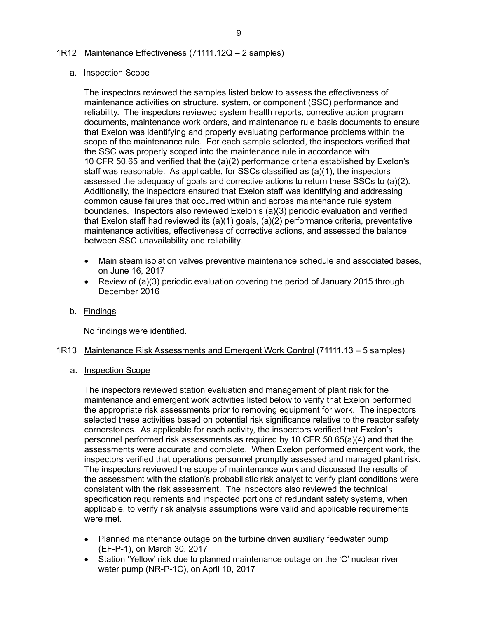### <span id="page-10-0"></span>1R12 Maintenance Effectiveness (71111.12Q – 2 samples)

### a. Inspection Scope

The inspectors reviewed the samples listed below to assess the effectiveness of maintenance activities on structure, system, or component (SSC) performance and reliability. The inspectors reviewed system health reports, corrective action program documents, maintenance work orders, and maintenance rule basis documents to ensure that Exelon was identifying and properly evaluating performance problems within the scope of the maintenance rule. For each sample selected, the inspectors verified that the SSC was properly scoped into the maintenance rule in accordance with 10 CFR 50.65 and verified that the (a)(2) performance criteria established by Exelon's staff was reasonable. As applicable, for SSCs classified as (a)(1), the inspectors assessed the adequacy of goals and corrective actions to return these SSCs to (a)(2). Additionally, the inspectors ensured that Exelon staff was identifying and addressing common cause failures that occurred within and across maintenance rule system boundaries. Inspectors also reviewed Exelon's (a)(3) periodic evaluation and verified that Exelon staff had reviewed its (a)(1) goals, (a)(2) performance criteria, preventative maintenance activities, effectiveness of corrective actions, and assessed the balance between SSC unavailability and reliability.

- Main steam isolation valves preventive maintenance schedule and associated bases, on June 16, 2017
- Review of (a)(3) periodic evaluation covering the period of January 2015 through December 2016
- b. Findings

No findings were identified.

- <span id="page-10-1"></span>1R13 Maintenance Risk Assessments and Emergent Work Control (71111.13 – 5 samples)
	- a. Inspection Scope

The inspectors reviewed station evaluation and management of plant risk for the maintenance and emergent work activities listed below to verify that Exelon performed the appropriate risk assessments prior to removing equipment for work. The inspectors selected these activities based on potential risk significance relative to the reactor safety cornerstones. As applicable for each activity, the inspectors verified that Exelon's personnel performed risk assessments as required by 10 CFR 50.65(a)(4) and that the assessments were accurate and complete. When Exelon performed emergent work, the inspectors verified that operations personnel promptly assessed and managed plant risk. The inspectors reviewed the scope of maintenance work and discussed the results of the assessment with the station's probabilistic risk analyst to verify plant conditions were consistent with the risk assessment. The inspectors also reviewed the technical specification requirements and inspected portions of redundant safety systems, when applicable, to verify risk analysis assumptions were valid and applicable requirements were met.

- Planned maintenance outage on the turbine driven auxiliary feedwater pump (EF-P-1), on March 30, 2017
- Station 'Yellow' risk due to planned maintenance outage on the 'C' nuclear river water pump (NR-P-1C), on April 10, 2017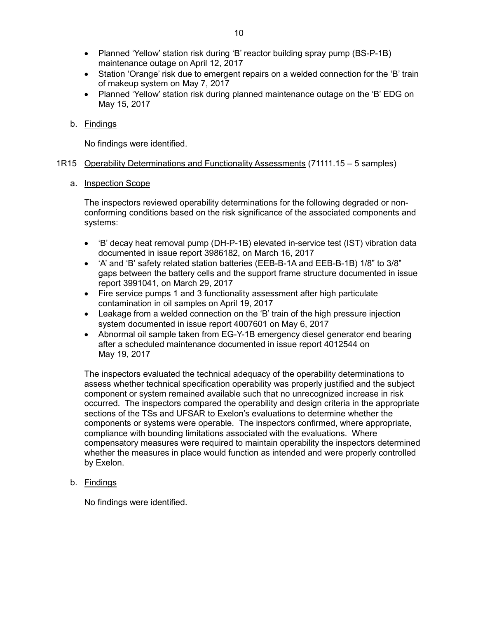- Planned 'Yellow' station risk during 'B' reactor building spray pump (BS-P-1B) maintenance outage on April 12, 2017
- Station 'Orange' risk due to emergent repairs on a welded connection for the 'B' train of makeup system on May 7, 2017
- Planned 'Yellow' station risk during planned maintenance outage on the 'B' EDG on May 15, 2017
- b. Findings

No findings were identified.

## <span id="page-11-0"></span>1R15 Operability Determinations and Functionality Assessments (71111.15 – 5 samples)

a. Inspection Scope

The inspectors reviewed operability determinations for the following degraded or nonconforming conditions based on the risk significance of the associated components and systems:

- 'B' decay heat removal pump (DH-P-1B) elevated in-service test (IST) vibration data documented in issue report 3986182, on March 16, 2017
- 'A' and 'B' safety related station batteries (EEB-B-1A and EEB-B-1B) 1/8" to 3/8" gaps between the battery cells and the support frame structure documented in issue report 3991041, on March 29, 2017
- Fire service pumps 1 and 3 functionality assessment after high particulate contamination in oil samples on April 19, 2017
- Leakage from a welded connection on the 'B' train of the high pressure injection system documented in issue report 4007601 on May 6, 2017
- Abnormal oil sample taken from EG-Y-1B emergency diesel generator end bearing after a scheduled maintenance documented in issue report 4012544 on May 19, 2017

The inspectors evaluated the technical adequacy of the operability determinations to assess whether technical specification operability was properly justified and the subject component or system remained available such that no unrecognized increase in risk occurred. The inspectors compared the operability and design criteria in the appropriate sections of the TSs and UFSAR to Exelon's evaluations to determine whether the components or systems were operable. The inspectors confirmed, where appropriate, compliance with bounding limitations associated with the evaluations. Where compensatory measures were required to maintain operability the inspectors determined whether the measures in place would function as intended and were properly controlled by Exelon.

b. Findings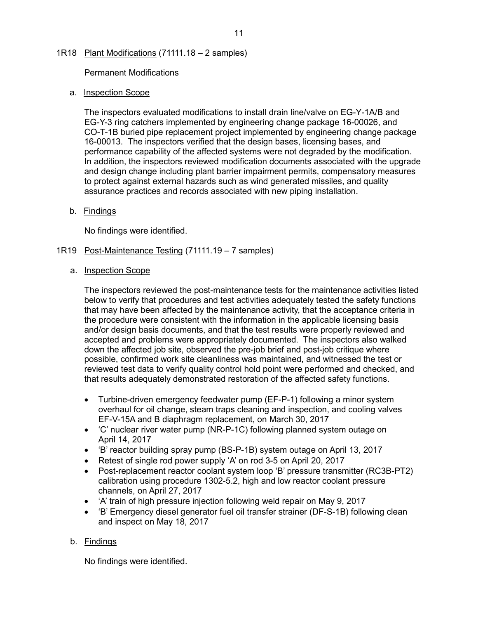## <span id="page-12-0"></span>1R18 Plant Modifications (71111.18 – 2 samples)

### Permanent Modifications

### a. Inspection Scope

The inspectors evaluated modifications to install drain line/valve on EG-Y-1A/B and EG-Y-3 ring catchers implemented by engineering change package 16-00026, and CO-T-1B buried pipe replacement project implemented by engineering change package 16-00013. The inspectors verified that the design bases, licensing bases, and performance capability of the affected systems were not degraded by the modification. In addition, the inspectors reviewed modification documents associated with the upgrade and design change including plant barrier impairment permits, compensatory measures to protect against external hazards such as wind generated missiles, and quality assurance practices and records associated with new piping installation.

## b. Findings

No findings were identified.

## <span id="page-12-1"></span>1R19 Post-Maintenance Testing (71111.19 – 7 samples)

### a. Inspection Scope

The inspectors reviewed the post-maintenance tests for the maintenance activities listed below to verify that procedures and test activities adequately tested the safety functions that may have been affected by the maintenance activity, that the acceptance criteria in the procedure were consistent with the information in the applicable licensing basis and/or design basis documents, and that the test results were properly reviewed and accepted and problems were appropriately documented. The inspectors also walked down the affected job site, observed the pre-job brief and post-job critique where possible, confirmed work site cleanliness was maintained, and witnessed the test or reviewed test data to verify quality control hold point were performed and checked, and that results adequately demonstrated restoration of the affected safety functions.

- Turbine-driven emergency feedwater pump (EF-P-1) following a minor system overhaul for oil change, steam traps cleaning and inspection, and cooling valves EF-V-15A and B diaphragm replacement, on March 30, 2017
- 'C' nuclear river water pump (NR-P-1C) following planned system outage on April 14, 2017
- 'B' reactor building spray pump (BS-P-1B) system outage on April 13, 2017
- Retest of single rod power supply 'A' on rod 3-5 on April 20, 2017
- Post-replacement reactor coolant system loop 'B' pressure transmitter (RC3B-PT2) calibration using procedure 1302-5.2, high and low reactor coolant pressure channels, on April 27, 2017
- 'A' train of high pressure injection following weld repair on May 9, 2017
- 'B' Emergency diesel generator fuel oil transfer strainer (DF-S-1B) following clean and inspect on May 18, 2017

## b. Findings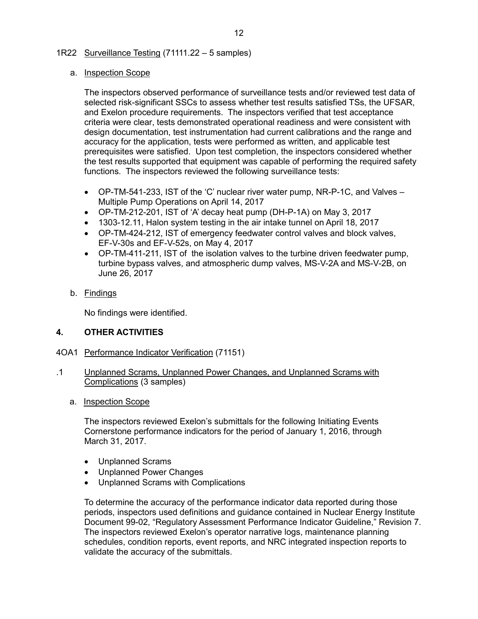## <span id="page-13-0"></span>1R22 Surveillance Testing (71111.22 – 5 samples)

### a. Inspection Scope

The inspectors observed performance of surveillance tests and/or reviewed test data of selected risk-significant SSCs to assess whether test results satisfied TSs, the UFSAR, and Exelon procedure requirements. The inspectors verified that test acceptance criteria were clear, tests demonstrated operational readiness and were consistent with design documentation, test instrumentation had current calibrations and the range and accuracy for the application, tests were performed as written, and applicable test prerequisites were satisfied. Upon test completion, the inspectors considered whether the test results supported that equipment was capable of performing the required safety functions. The inspectors reviewed the following surveillance tests:

- OP-TM-541-233, IST of the 'C' nuclear river water pump, NR-P-1C, and Valves Multiple Pump Operations on April 14, 2017
- OP-TM-212-201, IST of 'A' decay heat pump (DH-P-1A) on May 3, 2017
- 1303-12.11, Halon system testing in the air intake tunnel on April 18, 2017
- OP-TM-424-212, IST of emergency feedwater control valves and block valves, EF-V-30s and EF-V-52s, on May 4, 2017
- OP-TM-411-211, IST of the isolation valves to the turbine driven feedwater pump, turbine bypass valves, and atmospheric dump valves, MS-V-2A and MS-V-2B, on June 26, 2017
- b. Findings

No findings were identified.

## <span id="page-13-1"></span>**4. OTHER ACTIVITIES**

## <span id="page-13-2"></span>4OA1 Performance Indicator Verification (71151)

- .1 Unplanned Scrams, Unplanned Power Changes, and Unplanned Scrams with Complications (3 samples)
	- a. Inspection Scope

The inspectors reviewed Exelon's submittals for the following Initiating Events Cornerstone performance indicators for the period of January 1, 2016, through March 31, 2017.

- Unplanned Scrams
- Unplanned Power Changes
- Unplanned Scrams with Complications

To determine the accuracy of the performance indicator data reported during those periods, inspectors used definitions and guidance contained in Nuclear Energy Institute Document 99-02, "Regulatory Assessment Performance Indicator Guideline," Revision 7. The inspectors reviewed Exelon's operator narrative logs, maintenance planning schedules, condition reports, event reports, and NRC integrated inspection reports to validate the accuracy of the submittals.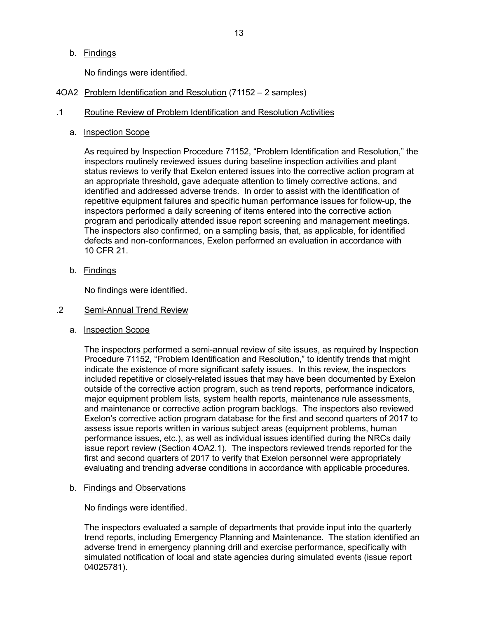b. Findings

No findings were identified.

- <span id="page-14-0"></span>4OA2 Problem Identification and Resolution (71152 – 2 samples)
- .1 Routine Review of Problem Identification and Resolution Activities
	- a. Inspection Scope

As required by Inspection Procedure 71152, "Problem Identification and Resolution," the inspectors routinely reviewed issues during baseline inspection activities and plant status reviews to verify that Exelon entered issues into the corrective action program at an appropriate threshold, gave adequate attention to timely corrective actions, and identified and addressed adverse trends. In order to assist with the identification of repetitive equipment failures and specific human performance issues for follow-up, the inspectors performed a daily screening of items entered into the corrective action program and periodically attended issue report screening and management meetings. The inspectors also confirmed, on a sampling basis, that, as applicable, for identified defects and non-conformances, Exelon performed an evaluation in accordance with 10 CFR 21.

b. Findings

No findings were identified.

#### .2 Semi-Annual Trend Review

a. Inspection Scope

The inspectors performed a semi-annual review of site issues, as required by Inspection Procedure 71152, "Problem Identification and Resolution," to identify trends that might indicate the existence of more significant safety issues. In this review, the inspectors included repetitive or closely-related issues that may have been documented by Exelon outside of the corrective action program, such as trend reports, performance indicators, major equipment problem lists, system health reports, maintenance rule assessments, and maintenance or corrective action program backlogs. The inspectors also reviewed Exelon's corrective action program database for the first and second quarters of 2017 to assess issue reports written in various subject areas (equipment problems, human performance issues, etc.), as well as individual issues identified during the NRCs daily issue report review (Section 4OA2.1). The inspectors reviewed trends reported for the first and second quarters of 2017 to verify that Exelon personnel were appropriately evaluating and trending adverse conditions in accordance with applicable procedures.

b. Findings and Observations

No findings were identified.

The inspectors evaluated a sample of departments that provide input into the quarterly trend reports, including Emergency Planning and Maintenance. The station identified an adverse trend in emergency planning drill and exercise performance, specifically with simulated notification of local and state agencies during simulated events (issue report 04025781).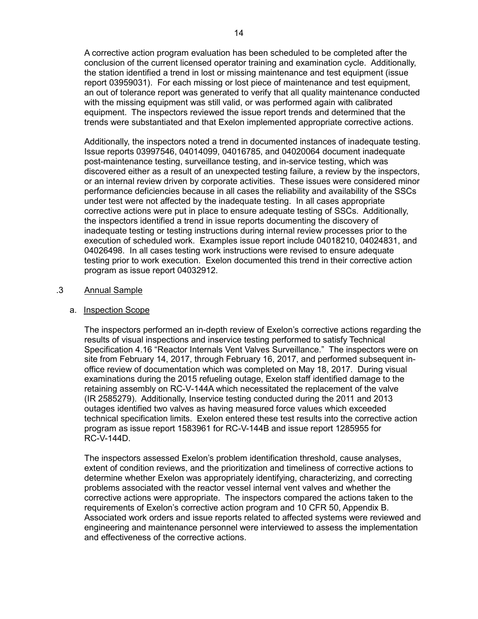A corrective action program evaluation has been scheduled to be completed after the conclusion of the current licensed operator training and examination cycle. Additionally, the station identified a trend in lost or missing maintenance and test equipment (issue report 03959031). For each missing or lost piece of maintenance and test equipment, an out of tolerance report was generated to verify that all quality maintenance conducted with the missing equipment was still valid, or was performed again with calibrated equipment. The inspectors reviewed the issue report trends and determined that the trends were substantiated and that Exelon implemented appropriate corrective actions.

Additionally, the inspectors noted a trend in documented instances of inadequate testing. Issue reports 03997546, 04014099, 04016785, and 04020064 document inadequate post-maintenance testing, surveillance testing, and in-service testing, which was discovered either as a result of an unexpected testing failure, a review by the inspectors, or an internal review driven by corporate activities. These issues were considered minor performance deficiencies because in all cases the reliability and availability of the SSCs under test were not affected by the inadequate testing. In all cases appropriate corrective actions were put in place to ensure adequate testing of SSCs. Additionally, the inspectors identified a trend in issue reports documenting the discovery of inadequate testing or testing instructions during internal review processes prior to the execution of scheduled work. Examples issue report include 04018210, 04024831, and 04026498. In all cases testing work instructions were revised to ensure adequate testing prior to work execution. Exelon documented this trend in their corrective action program as issue report 04032912.

## .3 Annual Sample

### a. Inspection Scope

The inspectors performed an in-depth review of Exelon's corrective actions regarding the results of visual inspections and inservice testing performed to satisfy Technical Specification 4.16 "Reactor Internals Vent Valves Surveillance." The inspectors were on site from February 14, 2017, through February 16, 2017, and performed subsequent inoffice review of documentation which was completed on May 18, 2017. During visual examinations during the 2015 refueling outage, Exelon staff identified damage to the retaining assembly on RC-V-144A which necessitated the replacement of the valve (IR 2585279). Additionally, Inservice testing conducted during the 2011 and 2013 outages identified two valves as having measured force values which exceeded technical specification limits. Exelon entered these test results into the corrective action program as issue report 1583961 for RC-V-144B and issue report 1285955 for RC-V-144D.

The inspectors assessed Exelon's problem identification threshold, cause analyses, extent of condition reviews, and the prioritization and timeliness of corrective actions to determine whether Exelon was appropriately identifying, characterizing, and correcting problems associated with the reactor vessel internal vent valves and whether the corrective actions were appropriate. The inspectors compared the actions taken to the requirements of Exelon's corrective action program and 10 CFR 50, Appendix B. Associated work orders and issue reports related to affected systems were reviewed and engineering and maintenance personnel were interviewed to assess the implementation and effectiveness of the corrective actions.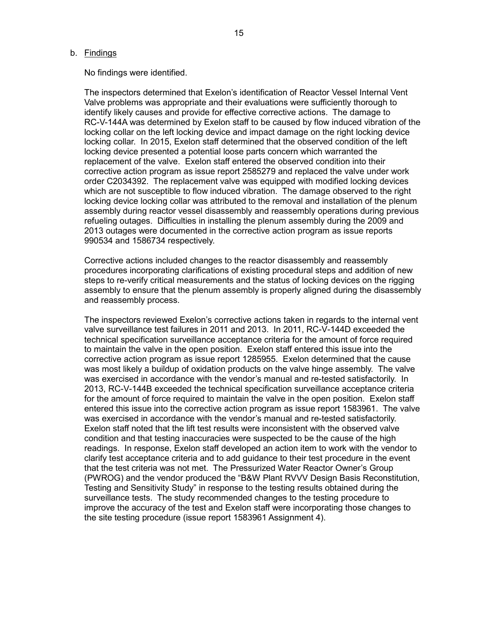#### b. Findings

No findings were identified.

The inspectors determined that Exelon's identification of Reactor Vessel Internal Vent Valve problems was appropriate and their evaluations were sufficiently thorough to identify likely causes and provide for effective corrective actions. The damage to RC-V-144A was determined by Exelon staff to be caused by flow induced vibration of the locking collar on the left locking device and impact damage on the right locking device locking collar. In 2015, Exelon staff determined that the observed condition of the left locking device presented a potential loose parts concern which warranted the replacement of the valve. Exelon staff entered the observed condition into their corrective action program as issue report 2585279 and replaced the valve under work order C2034392. The replacement valve was equipped with modified locking devices which are not susceptible to flow induced vibration. The damage observed to the right locking device locking collar was attributed to the removal and installation of the plenum assembly during reactor vessel disassembly and reassembly operations during previous refueling outages. Difficulties in installing the plenum assembly during the 2009 and 2013 outages were documented in the corrective action program as issue reports 990534 and 1586734 respectively.

Corrective actions included changes to the reactor disassembly and reassembly procedures incorporating clarifications of existing procedural steps and addition of new steps to re-verify critical measurements and the status of locking devices on the rigging assembly to ensure that the plenum assembly is properly aligned during the disassembly and reassembly process.

The inspectors reviewed Exelon's corrective actions taken in regards to the internal vent valve surveillance test failures in 2011 and 2013. In 2011, RC-V-144D exceeded the technical specification surveillance acceptance criteria for the amount of force required to maintain the valve in the open position. Exelon staff entered this issue into the corrective action program as issue report 1285955. Exelon determined that the cause was most likely a buildup of oxidation products on the valve hinge assembly. The valve was exercised in accordance with the vendor's manual and re-tested satisfactorily. In 2013, RC-V-144B exceeded the technical specification surveillance acceptance criteria for the amount of force required to maintain the valve in the open position. Exelon staff entered this issue into the corrective action program as issue report 1583961. The valve was exercised in accordance with the vendor's manual and re-tested satisfactorily. Exelon staff noted that the lift test results were inconsistent with the observed valve condition and that testing inaccuracies were suspected to be the cause of the high readings. In response, Exelon staff developed an action item to work with the vendor to clarify test acceptance criteria and to add guidance to their test procedure in the event that the test criteria was not met. The Pressurized Water Reactor Owner's Group (PWROG) and the vendor produced the "B&W Plant RVVV Design Basis Reconstitution, Testing and Sensitivity Study" in response to the testing results obtained during the surveillance tests. The study recommended changes to the testing procedure to improve the accuracy of the test and Exelon staff were incorporating those changes to the site testing procedure (issue report 1583961 Assignment 4).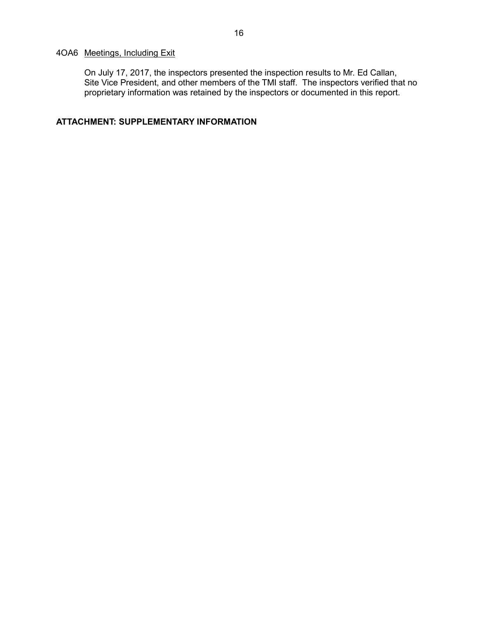## <span id="page-17-0"></span>4OA6 Meetings, Including Exit

On July 17, 2017, the inspectors presented the inspection results to Mr. Ed Callan, Site Vice President, and other members of the TMI staff. The inspectors verified that no proprietary information was retained by the inspectors or documented in this report.

## <span id="page-17-1"></span>**ATTACHMENT: SUPPLEMENTARY INFORMATION**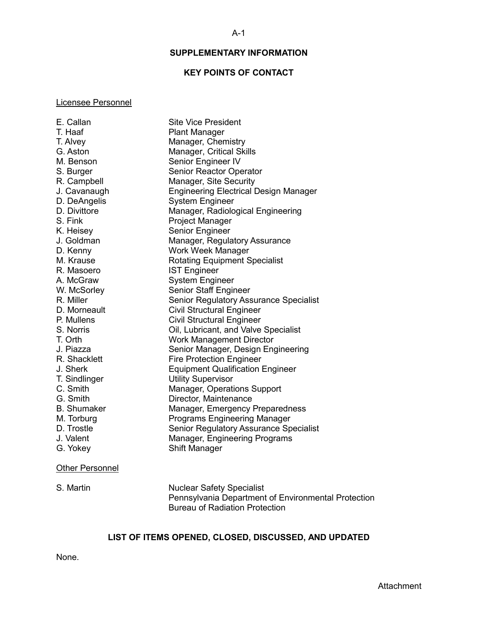## **SUPPLEMENTARY INFORMATION**

### **KEY POINTS OF CONTACT**

#### <span id="page-18-1"></span><span id="page-18-0"></span>Licensee Personnel

| E. Callan          | <b>Site Vice President</b>                   |
|--------------------|----------------------------------------------|
| T. Haaf            | <b>Plant Manager</b>                         |
| T. Alvey           | Manager, Chemistry                           |
| G. Aston           | Manager, Critical Skills                     |
| M. Benson          | Senior Engineer IV                           |
| S. Burger          | Senior Reactor Operator                      |
| R. Campbell        | Manager, Site Security                       |
| J. Cavanaugh       | <b>Engineering Electrical Design Manager</b> |
| D. DeAngelis       | <b>System Engineer</b>                       |
| D. Divittore       | Manager, Radiological Engineering            |
| S. Fink            | Project Manager                              |
| K. Heisey          | Senior Engineer                              |
| J. Goldman         | Manager, Regulatory Assurance                |
| D. Kenny           | Work Week Manager                            |
| M. Krause          | <b>Rotating Equipment Specialist</b>         |
| R. Masoero         | <b>IST Engineer</b>                          |
| A. McGraw          | <b>System Engineer</b>                       |
| W. McSorley        | Senior Staff Engineer                        |
| R. Miller          | Senior Regulatory Assurance Specialist       |
| D. Morneault       | <b>Civil Structural Engineer</b>             |
| P. Mullens         | <b>Civil Structural Engineer</b>             |
| S. Norris          | Oil, Lubricant, and Valve Specialist         |
| T. Orth            | <b>Work Management Director</b>              |
| J. Piazza          | Senior Manager, Design Engineering           |
| R. Shacklett       | <b>Fire Protection Engineer</b>              |
| J. Sherk           | <b>Equipment Qualification Engineer</b>      |
| T. Sindlinger      | <b>Utility Supervisor</b>                    |
| C. Smith           | Manager, Operations Support                  |
| G. Smith           | Director, Maintenance                        |
| <b>B.</b> Shumaker | Manager, Emergency Preparedness              |
| M. Torburg         | <b>Programs Engineering Manager</b>          |
| D. Trostle         | Senior Regulatory Assurance Specialist       |
| J. Valent          | Manager, Engineering Programs                |
| G. Yokey           | Shift Manager                                |
|                    |                                              |

#### **Other Personnel**

S. Martin Nuclear Safety Specialist Pennsylvania Department of Environmental Protection Bureau of Radiation Protection

## **LIST OF ITEMS OPENED, CLOSED, DISCUSSED, AND UPDATED**

<span id="page-18-2"></span>None.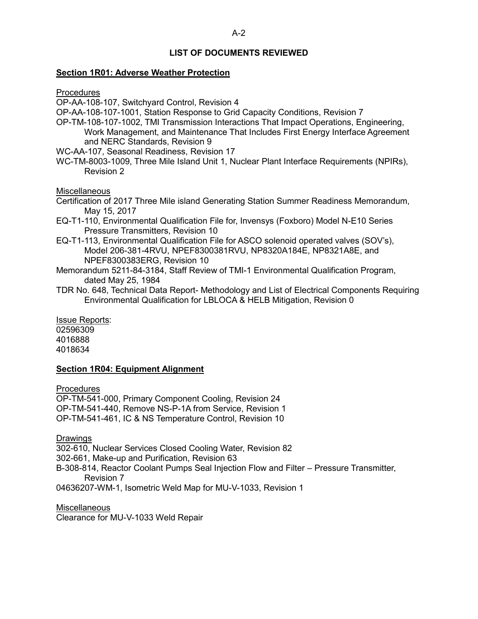## **LIST OF DOCUMENTS REVIEWED**

#### **Section 1R01: Adverse Weather Protection**

Procedures

OP-AA-108-107, Switchyard Control, Revision 4

OP-AA-108-107-1001, Station Response to Grid Capacity Conditions, Revision 7

OP-TM-108-107-1002, TMI Transmission Interactions That Impact Operations, Engineering, Work Management, and Maintenance That Includes First Energy Interface Agreement and NERC Standards, Revision 9

WC-AA-107, Seasonal Readiness, Revision 17

WC-TM-8003-1009, Three Mile Island Unit 1, Nuclear Plant Interface Requirements (NPIRs), Revision 2

**Miscellaneous** 

- Certification of 2017 Three Mile island Generating Station Summer Readiness Memorandum, May 15, 2017
- EQ-T1-110, Environmental Qualification File for, Invensys (Foxboro) Model N-E10 Series Pressure Transmitters, Revision 10
- EQ-T1-113, Environmental Qualification File for ASCO solenoid operated valves (SOV's), Model 206-381-4RVU, NPEF8300381RVU, NP8320A184E, NP8321A8E, and NPEF8300383ERG, Revision 10
- Memorandum 5211-84-3184, Staff Review of TMI-1 Environmental Qualification Program, dated May 25, 1984
- TDR No. 648, Technical Data Report- Methodology and List of Electrical Components Requiring Environmental Qualification for LBLOCA & HELB Mitigation, Revision 0

Issue Reports: 02596309 4016888 4018634

#### **Section 1R04: Equipment Alignment**

**Procedures** 

OP-TM-541-000, Primary Component Cooling, Revision 24 OP-TM-541-440, Remove NS-P-1A from Service, Revision 1 OP-TM-541-461, IC & NS Temperature Control, Revision 10

**Drawings** 

302-610, Nuclear Services Closed Cooling Water, Revision 82

302-661, Make-up and Purification, Revision 63

B-308-814, Reactor Coolant Pumps Seal Injection Flow and Filter – Pressure Transmitter, Revision 7

04636207-WM-1, Isometric Weld Map for MU-V-1033, Revision 1

**Miscellaneous** Clearance for MU-V-1033 Weld Repair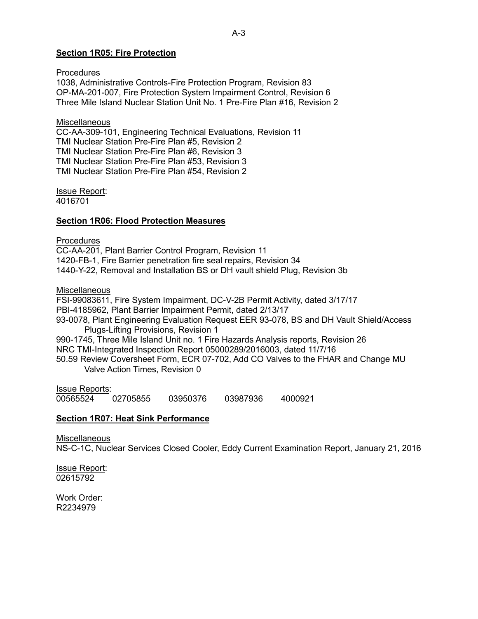### **Section 1R05: Fire Protection**

**Procedures** 1038, Administrative Controls-Fire Protection Program, Revision 83 OP-MA-201-007, Fire Protection System Impairment Control, Revision 6 Three Mile Island Nuclear Station Unit No. 1 Pre-Fire Plan #16, Revision 2

**Miscellaneous** CC-AA-309-101, Engineering Technical Evaluations, Revision 11 TMI Nuclear Station Pre-Fire Plan #5, Revision 2 TMI Nuclear Station Pre-Fire Plan #6, Revision 3 TMI Nuclear Station Pre-Fire Plan #53, Revision 3 TMI Nuclear Station Pre-Fire Plan #54, Revision 2

Issue Report: 4016701

#### **Section 1R06: Flood Protection Measures**

**Procedures** CC-AA-201, Plant Barrier Control Program, Revision 11 1420-FB-1, Fire Barrier penetration fire seal repairs, Revision 34 1440-Y-22, Removal and Installation BS or DH vault shield Plug, Revision 3b

**Miscellaneous** 

FSI-99083611, Fire System Impairment, DC-V-2B Permit Activity, dated 3/17/17 PBI-4185962, Plant Barrier Impairment Permit, dated 2/13/17 93-0078, Plant Engineering Evaluation Request EER 93-078, BS and DH Vault Shield/Access Plugs-Lifting Provisions, Revision 1 990-1745, Three Mile Island Unit no. 1 Fire Hazards Analysis reports, Revision 26 NRC TMI-Integrated Inspection Report 05000289/2016003, dated 11/7/16 50.59 Review Coversheet Form, ECR 07-702, Add CO Valves to the FHAR and Change MU Valve Action Times, Revision 0

Issue Reports: 00565524 02705855 03950376 03987936 4000921

#### **Section 1R07: Heat Sink Performance**

**Miscellaneous** 

NS-C-1C, Nuclear Services Closed Cooler, Eddy Current Examination Report, January 21, 2016

Issue Report: 02615792

Work Order: R2234979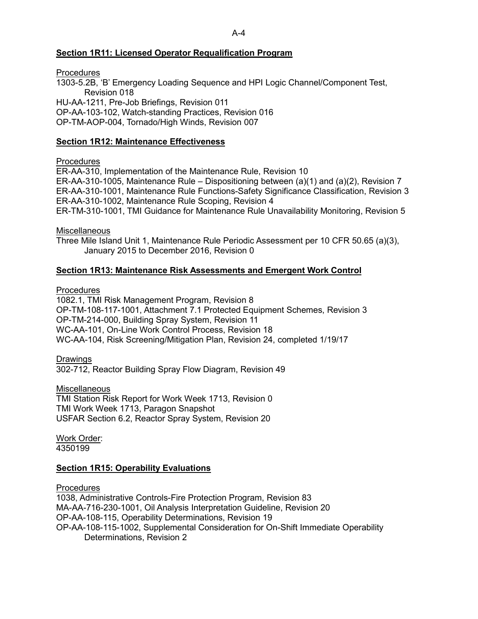#### A-4

### **Section 1R11: Licensed Operator Requalification Program**

**Procedures** 1303-5.2B, 'B' Emergency Loading Sequence and HPI Logic Channel/Component Test, Revision 018 HU-AA-1211, Pre-Job Briefings, Revision 011 OP-AA-103-102, Watch-standing Practices, Revision 016 OP-TM-AOP-004, Tornado/High Winds, Revision 007

### **Section 1R12: Maintenance Effectiveness**

### **Procedures**

ER-AA-310, Implementation of the Maintenance Rule, Revision 10 ER-AA-310-1005, Maintenance Rule – Dispositioning between (a)(1) and (a)(2), Revision 7 ER-AA-310-1001, Maintenance Rule Functions-Safety Significance Classification, Revision 3 ER-AA-310-1002, Maintenance Rule Scoping, Revision 4 ER-TM-310-1001, TMI Guidance for Maintenance Rule Unavailability Monitoring, Revision 5

**Miscellaneous** 

Three Mile Island Unit 1, Maintenance Rule Periodic Assessment per 10 CFR 50.65 (a)(3), January 2015 to December 2016, Revision 0

### **Section 1R13: Maintenance Risk Assessments and Emergent Work Control**

**Procedures** 

1082.1, TMI Risk Management Program, Revision 8 OP-TM-108-117-1001, Attachment 7.1 Protected Equipment Schemes, Revision 3 OP-TM-214-000, Building Spray System, Revision 11 WC-AA-101, On-Line Work Control Process, Revision 18 WC-AA-104, Risk Screening/Mitigation Plan, Revision 24, completed 1/19/17

Drawings

302-712, Reactor Building Spray Flow Diagram, Revision 49

**Miscellaneous** 

TMI Station Risk Report for Work Week 1713, Revision 0 TMI Work Week 1713, Paragon Snapshot USFAR Section 6.2, Reactor Spray System, Revision 20

Work Order: 4350199

### **Section 1R15: Operability Evaluations**

**Procedures** 1038, Administrative Controls-Fire Protection Program, Revision 83 MA-AA-716-230-1001, Oil Analysis Interpretation Guideline, Revision 20 OP-AA-108-115, Operability Determinations, Revision 19 OP-AA-108-115-1002, Supplemental Consideration for On-Shift Immediate Operability Determinations, Revision 2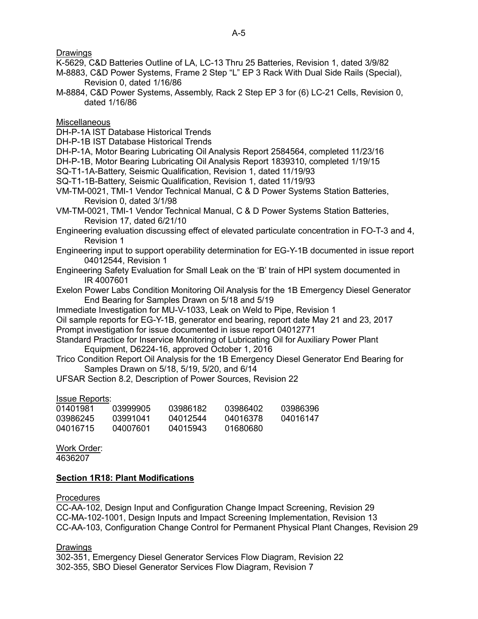**Drawings** 

K-5629, C&D Batteries Outline of LA, LC-13 Thru 25 Batteries, Revision 1, dated 3/9/82

- M-8883, C&D Power Systems, Frame 2 Step "L" EP 3 Rack With Dual Side Rails (Special), Revision 0, dated 1/16/86
- M-8884, C&D Power Systems, Assembly, Rack 2 Step EP 3 for (6) LC-21 Cells, Revision 0, dated 1/16/86

**Miscellaneous** 

DH-P-1A IST Database Historical Trends

DH-P-1B IST Database Historical Trends

DH-P-1A, Motor Bearing Lubricating Oil Analysis Report 2584564, completed 11/23/16

DH-P-1B, Motor Bearing Lubricating Oil Analysis Report 1839310, completed 1/19/15

SQ-T1-1A-Battery, Seismic Qualification, Revision 1, dated 11/19/93

SQ-T1-1B-Battery, Seismic Qualification, Revision 1, dated 11/19/93

VM-TM-0021, TMI-1 Vendor Technical Manual, C & D Power Systems Station Batteries, Revision 0, dated 3/1/98

VM-TM-0021, TMI-1 Vendor Technical Manual, C & D Power Systems Station Batteries, Revision 17, dated 6/21/10

Engineering evaluation discussing effect of elevated particulate concentration in FO-T-3 and 4, Revision 1

- Engineering input to support operability determination for EG-Y-1B documented in issue report 04012544, Revision 1
- Engineering Safety Evaluation for Small Leak on the 'B' train of HPI system documented in IR 4007601
- Exelon Power Labs Condition Monitoring Oil Analysis for the 1B Emergency Diesel Generator End Bearing for Samples Drawn on 5/18 and 5/19

Immediate Investigation for MU-V-1033, Leak on Weld to Pipe, Revision 1

Oil sample reports for EG-Y-1B, generator end bearing, report date May 21 and 23, 2017 Prompt investigation for issue documented in issue report 04012771

Standard Practice for Inservice Monitoring of Lubricating Oil for Auxiliary Power Plant Equipment, D6224-16, approved October 1, 2016

Trico Condition Report Oil Analysis for the 1B Emergency Diesel Generator End Bearing for Samples Drawn on 5/18, 5/19, 5/20, and 6/14

UFSAR Section 8.2, Description of Power Sources, Revision 22

Issue Reports:

| 01401981 | 03999905 | 03986182 | 03986402 | 03986396 |
|----------|----------|----------|----------|----------|
| 03986245 | 03991041 | 04012544 | 04016378 | 04016147 |
| 04016715 | 04007601 | 04015943 | 01680680 |          |

Work Order: 4636207

### **Section 1R18: Plant Modifications**

**Procedures** 

CC-AA-102, Design Input and Configuration Change Impact Screening, Revision 29 CC-MA-102-1001, Design Inputs and Impact Screening Implementation, Revision 13 CC-AA-103, Configuration Change Control for Permanent Physical Plant Changes, Revision 29

Drawings

302-351, Emergency Diesel Generator Services Flow Diagram, Revision 22 302-355, SBO Diesel Generator Services Flow Diagram, Revision 7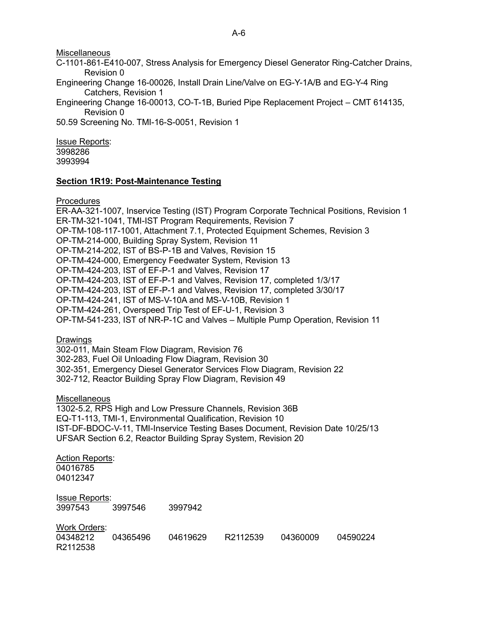#### Miscellaneous

C-1101-861-E410-007, Stress Analysis for Emergency Diesel Generator Ring-Catcher Drains, Revision 0

Engineering Change 16-00026, Install Drain Line/Valve on EG-Y-1A/B and EG-Y-4 Ring Catchers, Revision 1

Engineering Change 16-00013, CO-T-1B, Buried Pipe Replacement Project – CMT 614135, Revision 0

50.59 Screening No. TMI-16-S-0051, Revision 1

Issue Reports: 3998286 3993994

#### **Section 1R19: Post-Maintenance Testing**

**Procedures** 

ER-AA-321-1007, Inservice Testing (IST) Program Corporate Technical Positions, Revision 1 ER-TM-321-1041, TMI-IST Program Requirements, Revision 7 OP-TM-108-117-1001, Attachment 7.1, Protected Equipment Schemes, Revision 3 OP-TM-214-000, Building Spray System, Revision 11 OP-TM-214-202, IST of BS-P-1B and Valves, Revision 15 OP-TM-424-000, Emergency Feedwater System, Revision 13 OP-TM-424-203, IST of EF-P-1 and Valves, Revision 17 OP-TM-424-203, IST of EF-P-1 and Valves, Revision 17, completed 1/3/17 OP-TM-424-203, IST of EF-P-1 and Valves, Revision 17, completed 3/30/17 OP-TM-424-241, IST of MS-V-10A and MS-V-10B, Revision 1 OP-TM-424-261, Overspeed Trip Test of EF-U-1, Revision 3 OP-TM-541-233, IST of NR-P-1C and Valves – Multiple Pump Operation, Revision 11

**Drawings** 

302-011, Main Steam Flow Diagram, Revision 76 302-283, Fuel Oil Unloading Flow Diagram, Revision 30 302-351, Emergency Diesel Generator Services Flow Diagram, Revision 22 302-712, Reactor Building Spray Flow Diagram, Revision 49

Miscellaneous

1302-5.2, RPS High and Low Pressure Channels, Revision 36B EQ-T1-113, TMI-1, Environmental Qualification, Revision 10 IST-DF-BDOC-V-11, TMI-Inservice Testing Bases Document, Revision Date 10/25/13 UFSAR Section 6.2, Reactor Building Spray System, Revision 20

Action Reports: 04016785 04012347

| l <u>ssue Reports:</u><br>3997543 | 3997546 | 3997942  |          |         |
|-----------------------------------|---------|----------|----------|---------|
|                                   |         |          |          |         |
| Work Orders:                      |         |          |          |         |
| 04348212 04365406                 |         | 04610620 | D2112530 | 0436000 |

04348212 04365496 04619629 R2112539 04360009 04590224 R2112538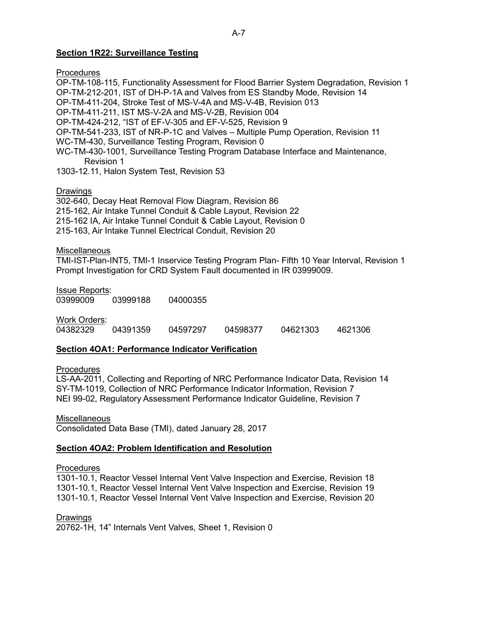### A-7

### **Section 1R22: Surveillance Testing**

**Procedures** 

OP-TM-108-115, Functionality Assessment for Flood Barrier System Degradation, Revision 1 OP-TM-212-201, IST of DH-P-1A and Valves from ES Standby Mode, Revision 14 OP-TM-411-204, Stroke Test of MS-V-4A and MS-V-4B, Revision 013 OP-TM-411-211, IST MS-V-2A and MS-V-2B, Revision 004 OP-TM-424-212, "IST of EF-V-305 and EF-V-525, Revision 9 OP-TM-541-233, IST of NR-P-1C and Valves – Multiple Pump Operation, Revision 11 WC-TM-430, Surveillance Testing Program, Revision 0 WC-TM-430-1001, Surveillance Testing Program Database Interface and Maintenance, Revision 1

1303-12.11, Halon System Test, Revision 53

**Drawings** 

302-640, Decay Heat Removal Flow Diagram, Revision 86 215-162, Air Intake Tunnel Conduit & Cable Layout, Revision 22 215-162 IA, Air Intake Tunnel Conduit & Cable Layout, Revision 0 215-163, Air Intake Tunnel Electrical Conduit, Revision 20

Miscellaneous

TMI-IST-Plan-INT5, TMI-1 Inservice Testing Program Plan- Fifth 10 Year Interval, Revision 1 Prompt Investigation for CRD System Fault documented in IR 03999009.

Issue Reports: 03999009 03999188 04000355

Work Orders: 04382329 04391359 04597297 04598377 04621303 4621306

### **Section 4OA1: Performance Indicator Verification**

**Procedures** 

LS-AA-2011, Collecting and Reporting of NRC Performance Indicator Data, Revision 14 SY-TM-1019, Collection of NRC Performance Indicator Information, Revision 7 NEI 99-02, Regulatory Assessment Performance Indicator Guideline, Revision 7

**Miscellaneous** 

Consolidated Data Base (TMI), dated January 28, 2017

### **Section 4OA2: Problem Identification and Resolution**

### **Procedures**

1301-10.1, Reactor Vessel Internal Vent Valve Inspection and Exercise, Revision 18 1301-10.1, Reactor Vessel Internal Vent Valve Inspection and Exercise, Revision 19 1301-10.1, Reactor Vessel Internal Vent Valve Inspection and Exercise, Revision 20

Drawings

20762-1H, 14" Internals Vent Valves, Sheet 1, Revision 0